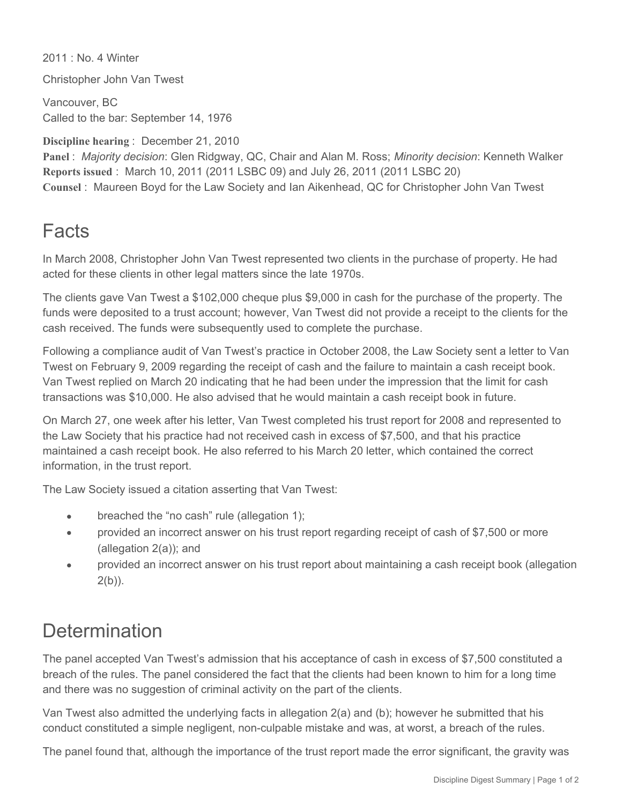2011 : No. 4 Winter

Christopher John Van Twest

Vancouver, BC Called to the bar: September 14, 1976

**Discipline hearing** : December 21, 2010

**Panel** : *Majority decision*: Glen Ridgway, QC, Chair and Alan M. Ross; *Minority decision*: Kenneth Walker **Reports issued** : March 10, 2011 (2011 LSBC 09) and July 26, 2011 (2011 LSBC 20) **Counsel** : Maureen Boyd for the Law Society and Ian Aikenhead, QC for Christopher John Van Twest

## **Facts**

In March 2008, Christopher John Van Twest represented two clients in the purchase of property. He had acted for these clients in other legal matters since the late 1970s.

The clients gave Van Twest a \$102,000 cheque plus \$9,000 in cash for the purchase of the property. The funds were deposited to a trust account; however, Van Twest did not provide a receipt to the clients for the cash received. The funds were subsequently used to complete the purchase.

Following a compliance audit of Van Twest's practice in October 2008, the Law Society sent a letter to Van Twest on February 9, 2009 regarding the receipt of cash and the failure to maintain a cash receipt book. Van Twest replied on March 20 indicating that he had been under the impression that the limit for cash transactions was \$10,000. He also advised that he would maintain a cash receipt book in future.

On March 27, one week after his letter, Van Twest completed his trust report for 2008 and represented to the Law Society that his practice had not received cash in excess of \$7,500, and that his practice maintained a cash receipt book. He also referred to his March 20 letter, which contained the correct information, in the trust report.

The Law Society issued a citation asserting that Van Twest:

- breached the "no cash" rule (allegation 1);  $\bullet$
- provided an incorrect answer on his trust report regarding receipt of cash of \$7,500 or more  $\bullet$ (allegation 2(a)); and
- provided an incorrect answer on his trust report about maintaining a cash receipt book (allegation  $2(b)$ ).

## **Determination**

The panel accepted Van Twest's admission that his acceptance of cash in excess of \$7,500 constituted a breach of the rules. The panel considered the fact that the clients had been known to him for a long time and there was no suggestion of criminal activity on the part of the clients.

Van Twest also admitted the underlying facts in allegation 2(a) and (b); however he submitted that his conduct constituted a simple negligent, non-culpable mistake and was, at worst, a breach of the rules.

The panel found that, although the importance of the trust report made the error significant, the gravity was